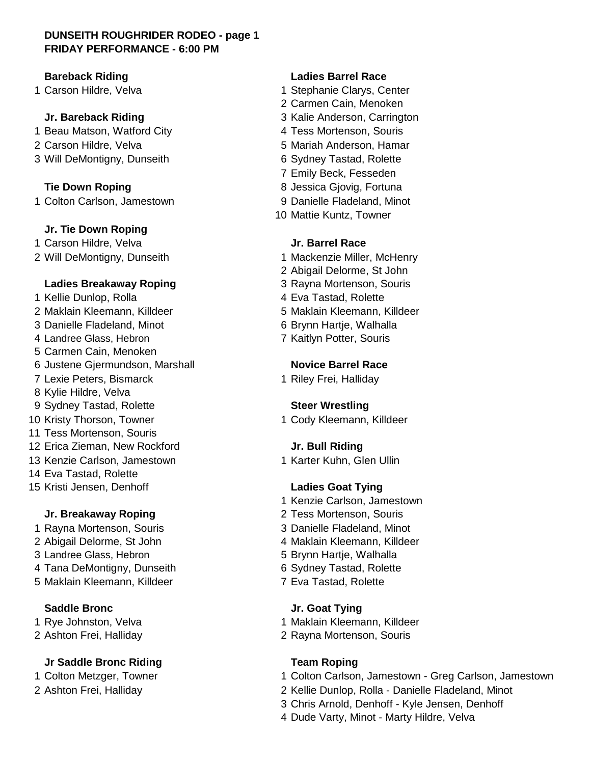## **DUNSEITH ROUGHRIDER RODEO - page 1 FRIDAY PERFORMANCE - 6:00 PM**

- 1 Beau Matson, Watford City **4 Tess Mortenson, Souris**
- 
- 3 Will DeMontigny, Dunseith 6 Sydney Tastad, Rolette

1 Colton Carlson, Jamestown 9 Danielle Fladeland, Minot

### **Jr. Tie Down Roping**

1 Carson Hildre, Velva **Jr. Barrel Race**

### **Ladies Breakaway Roping Transform School School 3 Rayna Mortenson, Souris**

1 Kellie Dunlop, Rolla 1 and 1 and 1 A Eva Tastad, Rolette Maklain Kleemann, Killdeer 5 Maklain Kleemann, Killdeer Danielle Fladeland, Minot 6 Brynn Hartje, Walhalla 4 Landree Glass, Hebron 7 Kaitlyn Potter, Souris Carmen Cain, Menoken Justene Gjermundson, Marshall **Novice Barrel Race** 7 Lexie Peters, Bismarck 1 Riley Frei, Halliday Kylie Hildre, Velva Sydney Tastad, Rolette **Steer Wrestling** 10 Kristy Thorson, Towner 1 Cody Kleemann, Killdeer Tess Mortenson, Souris Erica Zieman, New Rockford **Jr. Bull Riding** 13 Kenzie Carlson, Jamestown 1 Karter Kuhn, Glen Ullin Eva Tastad, Rolette Kristi Jensen, Denhoff **Ladies Goat Tying**

3 Landree Glass, Hebron 5 Brynn Hartje, Walhalla 4 Tana DeMontigny, Dunseith 6 Sydney Tastad, Rolette 5 Maklain Kleemann, Killdeer 7 Eva Tastad, Rolette

# **Jr Saddle Bronc Riding Team Roping**

## **Bareback Riding Ladies Barrel Race**

- 1 Carson Hildre, Velva 1 Stephanie Clarys, Center
	- 2 Carmen Cain, Menoken
	- **Jr. Bareback Riding Transform Strategier Strategier 3 Kalie Anderson, Carrington** 
		-
- 2 Carson Hildre, Velva 5 Mariah Anderson, Hamar
	-
	- 7 Emily Beck, Fesseden
	- **Tie Down Roping 1988 8 Jessica Gjovig, Fortuna** 
		-
		- 10 Mattie Kuntz, Towner

- 2 Will DeMontigny, Dunseith 1 Mackenzie Miller, McHenry
	- 2 Abigail Delorme, St John
	-
	-
	-
	-
	-

- 1 Kenzie Carlson, Jamestown
- **Jr. Breakaway Roping**  2 Tess Mortenson, Souris
- 1 Rayna Mortenson, Souris 3 Danielle Fladeland, Minot
- 2 Abigail Delorme, St John 4 Maklain Kleemann, Killdeer
	-
	-
	-

### **Saddle Bronc Jr. Goat Tying**

- 1 Rye Johnston, Velva 1 Maklain Kleemann, Killdeer
- 2 Ashton Frei, Halliday 2 Rayna Mortenson, Souris

- 1 Colton Metzger, Towner 1 Colton Carlson, Jamestown Greg Carlson, Jamestown
- 2 Ashton Frei, Halliday 2 Kellie Dunlop, Rolla Danielle Fladeland, Minot
	- 3 Chris Arnold, Denhoff Kyle Jensen, Denhoff
	- 4 Dude Varty, Minot Marty Hildre, Velva